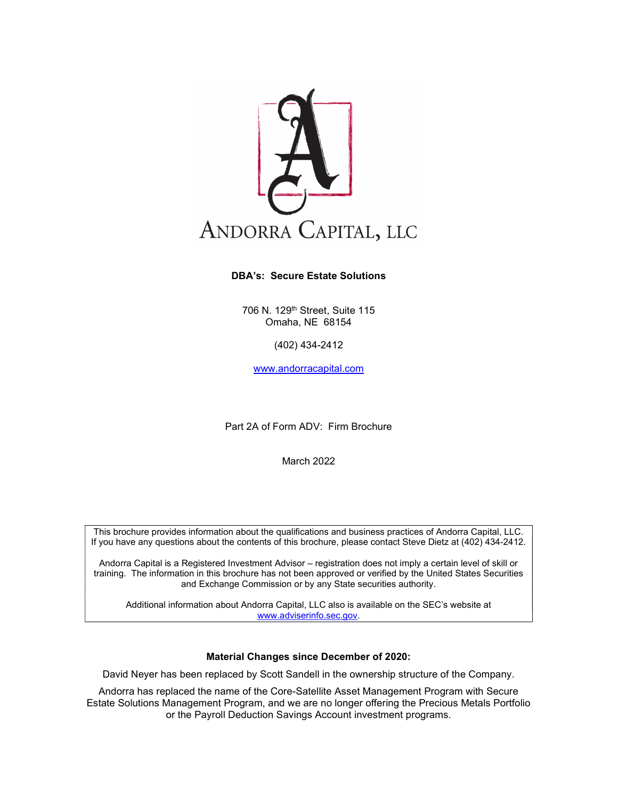

#### DBA's: Secure Estate Solutions

706 N. 129th Street, Suite 115 Omaha, NE 68154

(402) 434-2412

www.andorracapital.com

Part 2A of Form ADV: Firm Brochure

March 2022

This brochure provides information about the qualifications and business practices of Andorra Capital, LLC. If you have any questions about the contents of this brochure, please contact Steve Dietz at (402) 434-2412.

Andorra Capital is a Registered Investment Advisor – registration does not imply a certain level of skill or training. The information in this brochure has not been approved or verified by the United States Securities and Exchange Commission or by any State securities authority.

Additional information about Andorra Capital, LLC also is available on the SEC's website at www.adviserinfo.sec.gov.

#### Material Changes since December of 2020:

David Neyer has been replaced by Scott Sandell in the ownership structure of the Company.

Andorra has replaced the name of the Core-Satellite Asset Management Program with Secure Estate Solutions Management Program, and we are no longer offering the Precious Metals Portfolio or the Payroll Deduction Savings Account investment programs.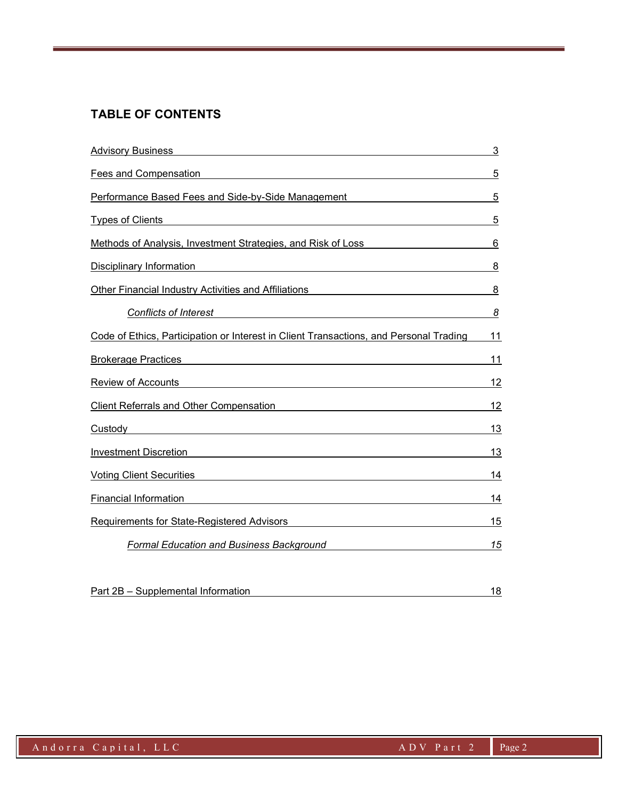# TABLE OF CONTENTS

| <b>Advisory Business</b>                                                                                                                                                                                                                                      | 3  |
|---------------------------------------------------------------------------------------------------------------------------------------------------------------------------------------------------------------------------------------------------------------|----|
| Fees and Compensation<br><u>and the state of the state of the state of the state of the state of the state of the state of the state of the state of the state of the state of the state of the state of the state of the state of the state of the state</u> | 5  |
| Performance Based Fees and Side-by-Side Management Network Channel Control Channel Channel Channel Channel Cha                                                                                                                                                | 5  |
| <b>Types of Clients</b><br><u>and the state of the state of the state of the state of the state of the state of the state of the state of th</u>                                                                                                              | 5  |
| Methods of Analysis, Investment Strategies, and Risk of Loss                                                                                                                                                                                                  | 6  |
| Disciplinary Information <b>Discrete Authority Control</b> Property and Control Property Control Property and Control P                                                                                                                                       | 8  |
| Other Financial Industry Activities and Affiliations                                                                                                                                                                                                          | 8  |
| <u> 1989 - Johann Barbara, martxa alemaniar a</u><br><b>Conflicts of Interest</b>                                                                                                                                                                             | 8  |
| Code of Ethics, Participation or Interest in Client Transactions, and Personal Trading                                                                                                                                                                        | 11 |
| <b>Brokerage Practices</b>                                                                                                                                                                                                                                    | 11 |
| Review of Accounts                                                                                                                                                                                                                                            | 12 |
| <b>Client Referrals and Other Compensation</b>                                                                                                                                                                                                                | 12 |
| Custody                                                                                                                                                                                                                                                       | 13 |
| Investment Discretion                                                                                                                                                                                                                                         | 13 |
| Voting Client Securities <b>Manual Accord Contract Contract Contract Contract Contract Contract Contract Contract Contract Contract Contract Contract Contract Contract Contract Contract Contract Contract Contract Contract Co</b>                          | 14 |
| <b>Financial Information</b>                                                                                                                                                                                                                                  | 14 |
| Requirements for State-Registered Advisors                                                                                                                                                                                                                    | 15 |
| <b>Formal Education and Business Background</b>                                                                                                                                                                                                               | 15 |
|                                                                                                                                                                                                                                                               |    |
|                                                                                                                                                                                                                                                               |    |

| Part 2B - Supplemental Information |  |
|------------------------------------|--|
|                                    |  |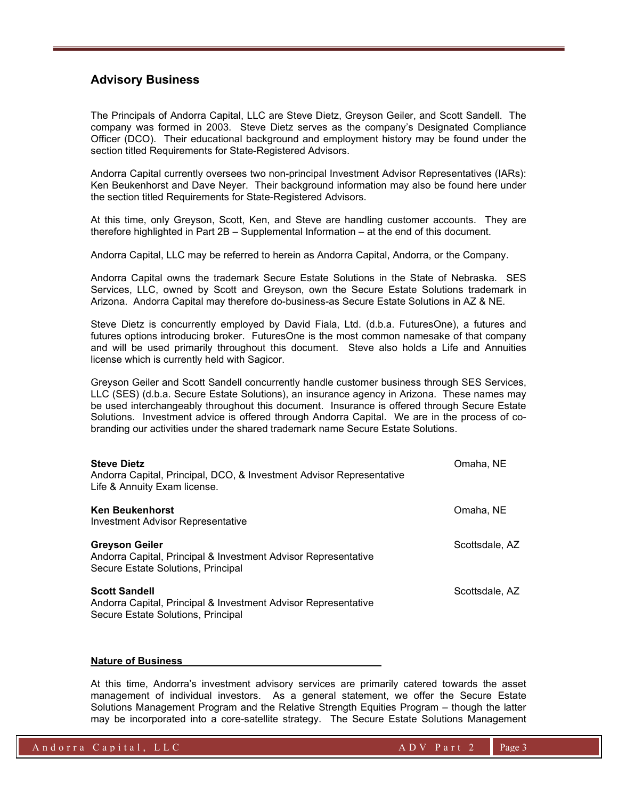## Advisory Business

The Principals of Andorra Capital, LLC are Steve Dietz, Greyson Geiler, and Scott Sandell. The company was formed in 2003. Steve Dietz serves as the company's Designated Compliance Officer (DCO). Their educational background and employment history may be found under the section titled Requirements for State-Registered Advisors.

Andorra Capital currently oversees two non-principal Investment Advisor Representatives (IARs): Ken Beukenhorst and Dave Neyer. Their background information may also be found here under the section titled Requirements for State-Registered Advisors.

At this time, only Greyson, Scott, Ken, and Steve are handling customer accounts. They are therefore highlighted in Part 2B – Supplemental Information – at the end of this document.

Andorra Capital, LLC may be referred to herein as Andorra Capital, Andorra, or the Company.

Andorra Capital owns the trademark Secure Estate Solutions in the State of Nebraska. SES Services, LLC, owned by Scott and Greyson, own the Secure Estate Solutions trademark in Arizona. Andorra Capital may therefore do-business-as Secure Estate Solutions in AZ & NE.

Steve Dietz is concurrently employed by David Fiala, Ltd. (d.b.a. FuturesOne), a futures and futures options introducing broker. FuturesOne is the most common namesake of that company and will be used primarily throughout this document. Steve also holds a Life and Annuities license which is currently held with Sagicor.

Greyson Geiler and Scott Sandell concurrently handle customer business through SES Services, LLC (SES) (d.b.a. Secure Estate Solutions), an insurance agency in Arizona. These names may be used interchangeably throughout this document. Insurance is offered through Secure Estate Solutions. Investment advice is offered through Andorra Capital. We are in the process of cobranding our activities under the shared trademark name Secure Estate Solutions.

| <b>Steve Dietz</b><br>Andorra Capital, Principal, DCO, & Investment Advisor Representative<br>Life & Annuity Exam license.    | Omaha, NE      |
|-------------------------------------------------------------------------------------------------------------------------------|----------------|
| <b>Ken Beukenhorst</b><br>Investment Advisor Representative                                                                   | Omaha, NE      |
| <b>Greyson Geiler</b><br>Andorra Capital, Principal & Investment Advisor Representative<br>Secure Estate Solutions, Principal | Scottsdale, AZ |
| <b>Scott Sandell</b><br>Andorra Capital, Principal & Investment Advisor Representative<br>Secure Estate Solutions, Principal  | Scottsdale, AZ |

#### Nature of Business

At this time, Andorra's investment advisory services are primarily catered towards the asset management of individual investors. As a general statement, we offer the Secure Estate Solutions Management Program and the Relative Strength Equities Program – though the latter may be incorporated into a core-satellite strategy. The Secure Estate Solutions Management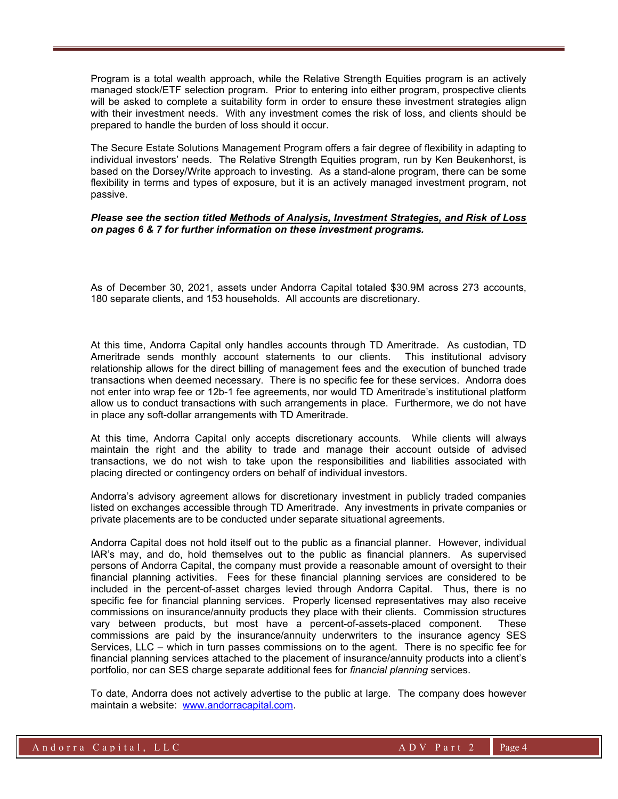Program is a total wealth approach, while the Relative Strength Equities program is an actively managed stock/ETF selection program. Prior to entering into either program, prospective clients will be asked to complete a suitability form in order to ensure these investment strategies align with their investment needs. With any investment comes the risk of loss, and clients should be prepared to handle the burden of loss should it occur.

The Secure Estate Solutions Management Program offers a fair degree of flexibility in adapting to individual investors' needs. The Relative Strength Equities program, run by Ken Beukenhorst, is based on the Dorsey/Write approach to investing. As a stand-alone program, there can be some flexibility in terms and types of exposure, but it is an actively managed investment program, not passive.

#### Please see the section titled Methods of Analysis, Investment Strategies, and Risk of Loss on pages 6 & 7 for further information on these investment programs.

As of December 30, 2021, assets under Andorra Capital totaled \$30.9M across 273 accounts, 180 separate clients, and 153 households. All accounts are discretionary.

At this time, Andorra Capital only handles accounts through TD Ameritrade. As custodian, TD Ameritrade sends monthly account statements to our clients. This institutional advisory relationship allows for the direct billing of management fees and the execution of bunched trade transactions when deemed necessary. There is no specific fee for these services. Andorra does not enter into wrap fee or 12b-1 fee agreements, nor would TD Ameritrade's institutional platform allow us to conduct transactions with such arrangements in place. Furthermore, we do not have in place any soft-dollar arrangements with TD Ameritrade.

At this time, Andorra Capital only accepts discretionary accounts. While clients will always maintain the right and the ability to trade and manage their account outside of advised transactions, we do not wish to take upon the responsibilities and liabilities associated with placing directed or contingency orders on behalf of individual investors.

Andorra's advisory agreement allows for discretionary investment in publicly traded companies listed on exchanges accessible through TD Ameritrade. Any investments in private companies or private placements are to be conducted under separate situational agreements.

Andorra Capital does not hold itself out to the public as a financial planner. However, individual IAR's may, and do, hold themselves out to the public as financial planners. As supervised persons of Andorra Capital, the company must provide a reasonable amount of oversight to their financial planning activities. Fees for these financial planning services are considered to be included in the percent-of-asset charges levied through Andorra Capital. Thus, there is no specific fee for financial planning services. Properly licensed representatives may also receive commissions on insurance/annuity products they place with their clients. Commission structures vary between products, but most have a percent-of-assets-placed component. These commissions are paid by the insurance/annuity underwriters to the insurance agency SES Services, LLC – which in turn passes commissions on to the agent. There is no specific fee for financial planning services attached to the placement of insurance/annuity products into a client's portfolio, nor can SES charge separate additional fees for financial planning services.

To date, Andorra does not actively advertise to the public at large. The company does however maintain a website: www.andorracapital.com.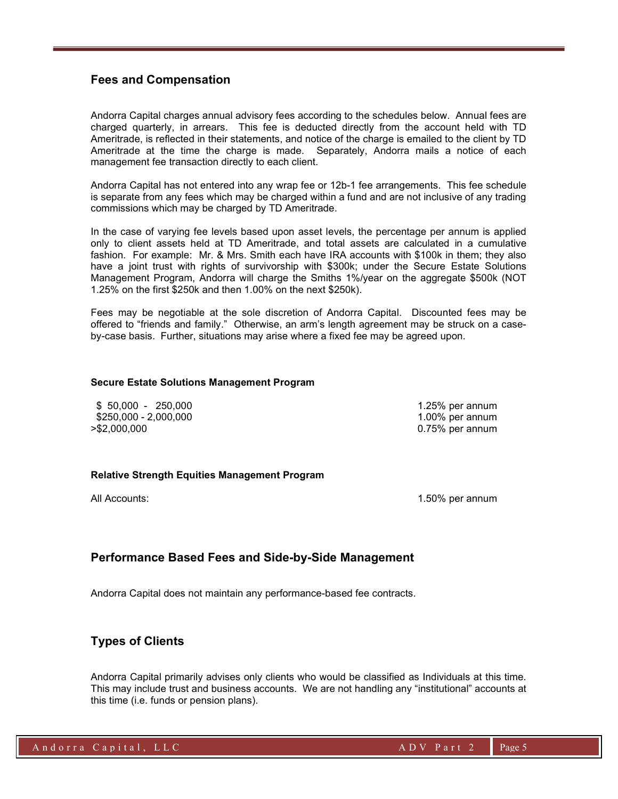## Fees and Compensation

Andorra Capital charges annual advisory fees according to the schedules below. Annual fees are charged quarterly, in arrears. This fee is deducted directly from the account held with TD Ameritrade, is reflected in their statements, and notice of the charge is emailed to the client by TD Ameritrade at the time the charge is made. Separately, Andorra mails a notice of each management fee transaction directly to each client.

Andorra Capital has not entered into any wrap fee or 12b-1 fee arrangements. This fee schedule is separate from any fees which may be charged within a fund and are not inclusive of any trading commissions which may be charged by TD Ameritrade.

In the case of varying fee levels based upon asset levels, the percentage per annum is applied only to client assets held at TD Ameritrade, and total assets are calculated in a cumulative fashion. For example: Mr. & Mrs. Smith each have IRA accounts with \$100k in them; they also have a joint trust with rights of survivorship with \$300k; under the Secure Estate Solutions Management Program, Andorra will charge the Smiths 1%/year on the aggregate \$500k (NOT 1.25% on the first \$250k and then 1.00% on the next \$250k).

Fees may be negotiable at the sole discretion of Andorra Capital. Discounted fees may be offered to "friends and family." Otherwise, an arm's length agreement may be struck on a caseby-case basis. Further, situations may arise where a fixed fee may be agreed upon.

#### Secure Estate Solutions Management Program

 \$ 50,000 - 250,000 1.25% per annum \$250,000 - 2,000,000 1.000 1.000 1.000 1.000 1.000 per annum >\$2,000,000 0.75% per annum

#### Relative Strength Equities Management Program

All Accounts: 1.50% per annum

## Performance Based Fees and Side-by-Side Management

Andorra Capital does not maintain any performance-based fee contracts.

## Types of Clients

Andorra Capital primarily advises only clients who would be classified as Individuals at this time. This may include trust and business accounts. We are not handling any "institutional" accounts at this time (i.e. funds or pension plans).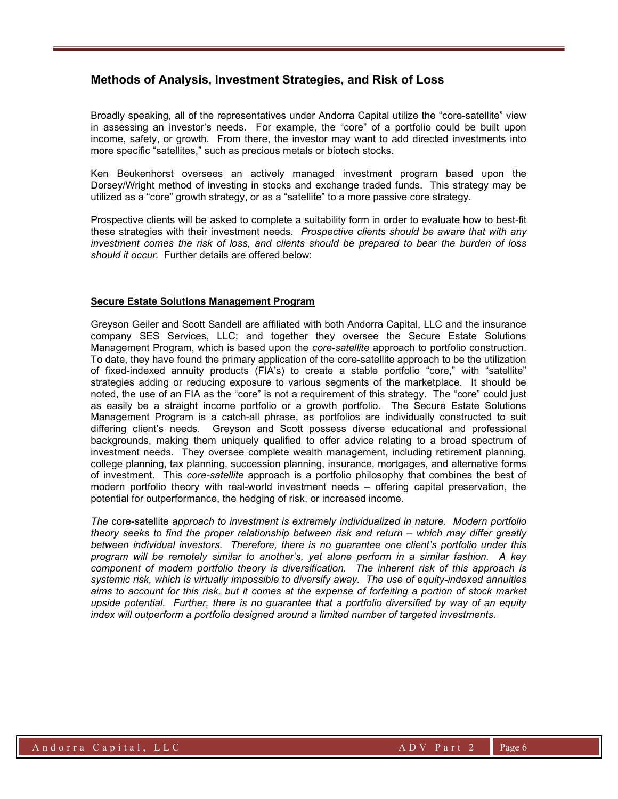## Methods of Analysis, Investment Strategies, and Risk of Loss

Broadly speaking, all of the representatives under Andorra Capital utilize the "core-satellite" view in assessing an investor's needs. For example, the "core" of a portfolio could be built upon income, safety, or growth. From there, the investor may want to add directed investments into more specific "satellites," such as precious metals or biotech stocks.

Ken Beukenhorst oversees an actively managed investment program based upon the Dorsey/Wright method of investing in stocks and exchange traded funds. This strategy may be utilized as a "core" growth strategy, or as a "satellite" to a more passive core strategy.

Prospective clients will be asked to complete a suitability form in order to evaluate how to best-fit these strategies with their investment needs. Prospective clients should be aware that with any investment comes the risk of loss, and clients should be prepared to bear the burden of loss should it occur. Further details are offered below:

#### Secure Estate Solutions Management Program

Greyson Geiler and Scott Sandell are affiliated with both Andorra Capital, LLC and the insurance company SES Services, LLC; and together they oversee the Secure Estate Solutions Management Program, which is based upon the core-satellite approach to portfolio construction. To date, they have found the primary application of the core-satellite approach to be the utilization of fixed-indexed annuity products (FIA's) to create a stable portfolio "core," with "satellite" strategies adding or reducing exposure to various segments of the marketplace. It should be noted, the use of an FIA as the "core" is not a requirement of this strategy. The "core" could just as easily be a straight income portfolio or a growth portfolio. The Secure Estate Solutions Management Program is a catch-all phrase, as portfolios are individually constructed to suit differing client's needs. Greyson and Scott possess diverse educational and professional backgrounds, making them uniquely qualified to offer advice relating to a broad spectrum of investment needs. They oversee complete wealth management, including retirement planning, college planning, tax planning, succession planning, insurance, mortgages, and alternative forms of investment. This core-satellite approach is a portfolio philosophy that combines the best of modern portfolio theory with real-world investment needs – offering capital preservation, the potential for outperformance, the hedging of risk, or increased income.

The core-satellite approach to investment is extremely individualized in nature. Modern portfolio theory seeks to find the proper relationship between risk and return – which may differ greatly between individual investors. Therefore, there is no guarantee one client's portfolio under this program will be remotely similar to another's, yet alone perform in a similar fashion. A key component of modern portfolio theory is diversification. The inherent risk of this approach is systemic risk, which is virtually impossible to diversify away. The use of equity-indexed annuities aims to account for this risk, but it comes at the expense of forfeiting a portion of stock market upside potential. Further, there is no guarantee that a portfolio diversified by way of an equity index will outperform a portfolio designed around a limited number of targeted investments.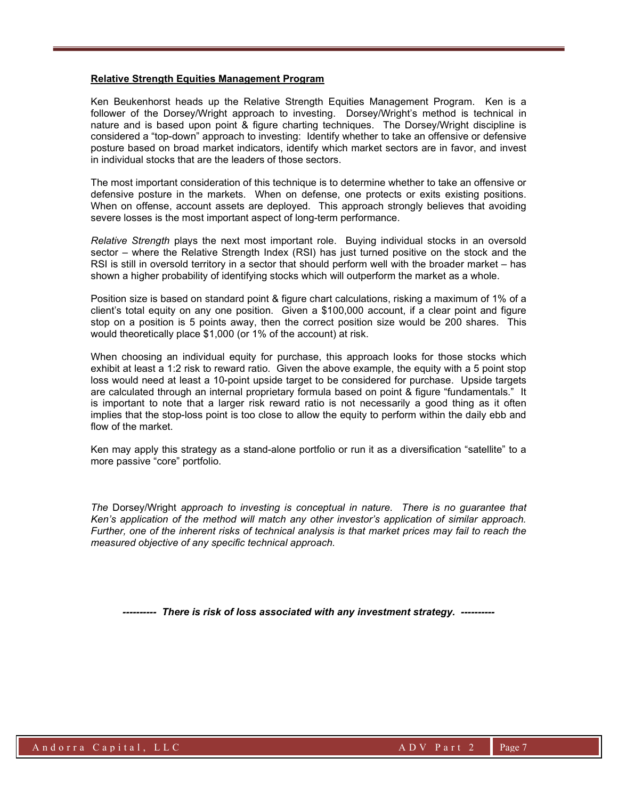#### Relative Strength Equities Management Program

Ken Beukenhorst heads up the Relative Strength Equities Management Program. Ken is a follower of the Dorsey/Wright approach to investing. Dorsey/Wright's method is technical in nature and is based upon point & figure charting techniques. The Dorsey/Wright discipline is considered a "top-down" approach to investing: Identify whether to take an offensive or defensive posture based on broad market indicators, identify which market sectors are in favor, and invest in individual stocks that are the leaders of those sectors.

The most important consideration of this technique is to determine whether to take an offensive or defensive posture in the markets. When on defense, one protects or exits existing positions. When on offense, account assets are deployed. This approach strongly believes that avoiding severe losses is the most important aspect of long-term performance.

Relative Strength plays the next most important role. Buying individual stocks in an oversold sector – where the Relative Strength Index (RSI) has just turned positive on the stock and the RSI is still in oversold territory in a sector that should perform well with the broader market – has shown a higher probability of identifying stocks which will outperform the market as a whole.

Position size is based on standard point & figure chart calculations, risking a maximum of 1% of a client's total equity on any one position. Given a \$100,000 account, if a clear point and figure stop on a position is 5 points away, then the correct position size would be 200 shares. This would theoretically place \$1,000 (or 1% of the account) at risk.

When choosing an individual equity for purchase, this approach looks for those stocks which exhibit at least a 1:2 risk to reward ratio. Given the above example, the equity with a 5 point stop loss would need at least a 10-point upside target to be considered for purchase. Upside targets are calculated through an internal proprietary formula based on point & figure "fundamentals." It is important to note that a larger risk reward ratio is not necessarily a good thing as it often implies that the stop-loss point is too close to allow the equity to perform within the daily ebb and flow of the market.

Ken may apply this strategy as a stand-alone portfolio or run it as a diversification "satellite" to a more passive "core" portfolio.

The Dorsey/Wright approach to investing is conceptual in nature. There is no guarantee that Ken's application of the method will match any other investor's application of similar approach. Further, one of the inherent risks of technical analysis is that market prices may fail to reach the measured objective of any specific technical approach.

---------- There is risk of loss associated with any investment strategy. ----------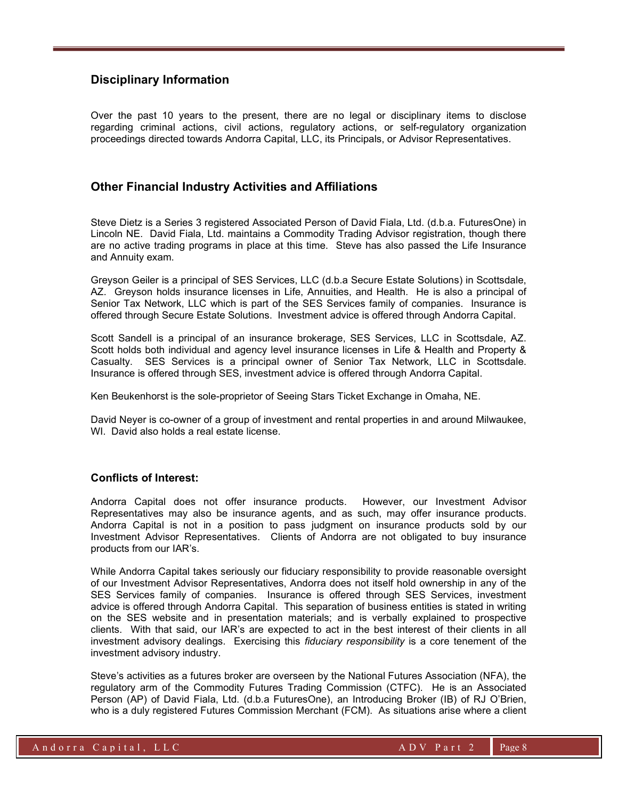## Disciplinary Information

Over the past 10 years to the present, there are no legal or disciplinary items to disclose regarding criminal actions, civil actions, regulatory actions, or self-regulatory organization proceedings directed towards Andorra Capital, LLC, its Principals, or Advisor Representatives.

### Other Financial Industry Activities and Affiliations

Steve Dietz is a Series 3 registered Associated Person of David Fiala, Ltd. (d.b.a. FuturesOne) in Lincoln NE. David Fiala, Ltd. maintains a Commodity Trading Advisor registration, though there are no active trading programs in place at this time. Steve has also passed the Life Insurance and Annuity exam.

Greyson Geiler is a principal of SES Services, LLC (d.b.a Secure Estate Solutions) in Scottsdale, AZ. Greyson holds insurance licenses in Life, Annuities, and Health. He is also a principal of Senior Tax Network, LLC which is part of the SES Services family of companies. Insurance is offered through Secure Estate Solutions. Investment advice is offered through Andorra Capital.

Scott Sandell is a principal of an insurance brokerage, SES Services, LLC in Scottsdale, AZ. Scott holds both individual and agency level insurance licenses in Life & Health and Property & Casualty. SES Services is a principal owner of Senior Tax Network, LLC in Scottsdale. Insurance is offered through SES, investment advice is offered through Andorra Capital.

Ken Beukenhorst is the sole-proprietor of Seeing Stars Ticket Exchange in Omaha, NE.

David Neyer is co-owner of a group of investment and rental properties in and around Milwaukee, WI. David also holds a real estate license.

#### Conflicts of Interest:

Andorra Capital does not offer insurance products. However, our Investment Advisor Representatives may also be insurance agents, and as such, may offer insurance products. Andorra Capital is not in a position to pass judgment on insurance products sold by our Investment Advisor Representatives. Clients of Andorra are not obligated to buy insurance products from our IAR's.

While Andorra Capital takes seriously our fiduciary responsibility to provide reasonable oversight of our Investment Advisor Representatives, Andorra does not itself hold ownership in any of the SES Services family of companies. Insurance is offered through SES Services, investment advice is offered through Andorra Capital. This separation of business entities is stated in writing on the SES website and in presentation materials; and is verbally explained to prospective clients. With that said, our IAR's are expected to act in the best interest of their clients in all investment advisory dealings. Exercising this fiduciary responsibility is a core tenement of the investment advisory industry.

Steve's activities as a futures broker are overseen by the National Futures Association (NFA), the regulatory arm of the Commodity Futures Trading Commission (CTFC). He is an Associated Person (AP) of David Fiala, Ltd. (d.b.a FuturesOne), an Introducing Broker (IB) of RJ O'Brien, who is a duly registered Futures Commission Merchant (FCM). As situations arise where a client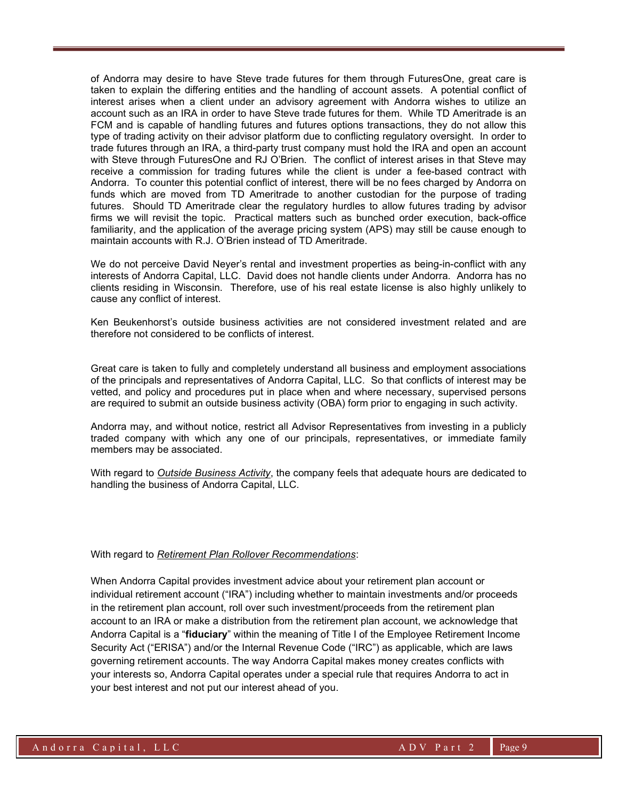of Andorra may desire to have Steve trade futures for them through FuturesOne, great care is taken to explain the differing entities and the handling of account assets. A potential conflict of interest arises when a client under an advisory agreement with Andorra wishes to utilize an account such as an IRA in order to have Steve trade futures for them. While TD Ameritrade is an FCM and is capable of handling futures and futures options transactions, they do not allow this type of trading activity on their advisor platform due to conflicting regulatory oversight. In order to trade futures through an IRA, a third-party trust company must hold the IRA and open an account with Steve through FuturesOne and RJ O'Brien. The conflict of interest arises in that Steve may receive a commission for trading futures while the client is under a fee-based contract with Andorra. To counter this potential conflict of interest, there will be no fees charged by Andorra on funds which are moved from TD Ameritrade to another custodian for the purpose of trading futures. Should TD Ameritrade clear the regulatory hurdles to allow futures trading by advisor firms we will revisit the topic. Practical matters such as bunched order execution, back-office familiarity, and the application of the average pricing system (APS) may still be cause enough to maintain accounts with R.J. O'Brien instead of TD Ameritrade.

We do not perceive David Neyer's rental and investment properties as being-in-conflict with any interests of Andorra Capital, LLC. David does not handle clients under Andorra. Andorra has no clients residing in Wisconsin. Therefore, use of his real estate license is also highly unlikely to cause any conflict of interest.

Ken Beukenhorst's outside business activities are not considered investment related and are therefore not considered to be conflicts of interest.

Great care is taken to fully and completely understand all business and employment associations of the principals and representatives of Andorra Capital, LLC. So that conflicts of interest may be vetted, and policy and procedures put in place when and where necessary, supervised persons are required to submit an outside business activity (OBA) form prior to engaging in such activity.

Andorra may, and without notice, restrict all Advisor Representatives from investing in a publicly traded company with which any one of our principals, representatives, or immediate family members may be associated.

With regard to Outside Business Activity, the company feels that adequate hours are dedicated to handling the business of Andorra Capital, LLC.

#### With regard to Retirement Plan Rollover Recommendations:

When Andorra Capital provides investment advice about your retirement plan account or individual retirement account ("IRA") including whether to maintain investments and/or proceeds in the retirement plan account, roll over such investment/proceeds from the retirement plan account to an IRA or make a distribution from the retirement plan account, we acknowledge that Andorra Capital is a "**fiduciary**" within the meaning of Title I of the Employee Retirement Income Security Act ("ERISA") and/or the Internal Revenue Code ("IRC") as applicable, which are laws governing retirement accounts. The way Andorra Capital makes money creates conflicts with your interests so, Andorra Capital operates under a special rule that requires Andorra to act in your best interest and not put our interest ahead of you.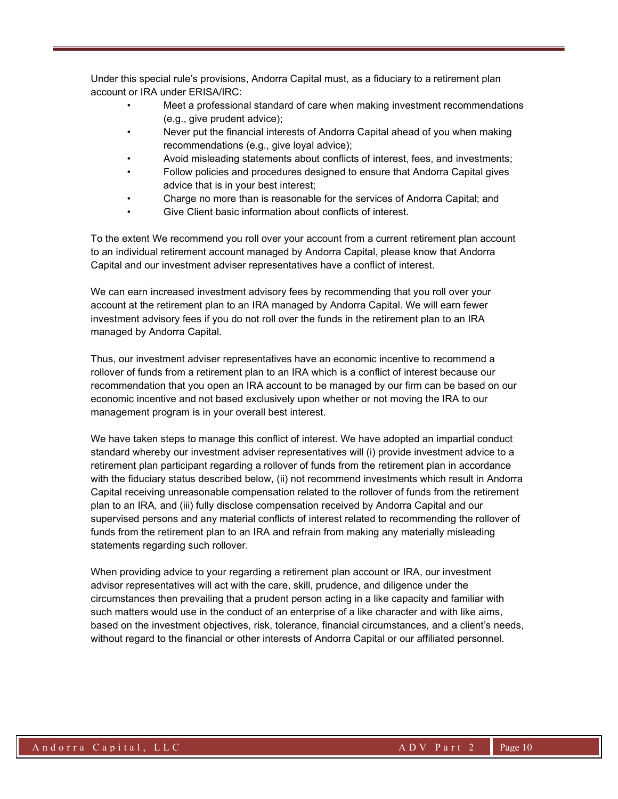Under this special rule's provisions, Andorra Capital must, as a fiduciary to a retirement plan account or IRA under ERISA/IRC:

- Meet a professional standard of care when making investment recommendations (e.g., give prudent advice);
- Never put the financial interests of Andorra Capital ahead of you when making recommendations (e.g., give loyal advice);
- Avoid misleading statements about conflicts of interest, fees, and investments;
- Follow policies and procedures designed to ensure that Andorra Capital gives advice that is in your best interest;
- Charge no more than is reasonable for the services of Andorra Capital; and
- Give Client basic information about conflicts of interest.

To the extent We recommend you roll over your account from a current retirement plan account to an individual retirement account managed by Andorra Capital, please know that Andorra Capital and our investment adviser representatives have a conflict of interest.

We can earn increased investment advisory fees by recommending that you roll over your account at the retirement plan to an IRA managed by Andorra Capital. We will earn fewer investment advisory fees if you do not roll over the funds in the retirement plan to an IRA managed by Andorra Capital.

Thus, our investment adviser representatives have an economic incentive to recommend a rollover of funds from a retirement plan to an IRA which is a conflict of interest because our recommendation that you open an IRA account to be managed by our firm can be based on our economic incentive and not based exclusively upon whether or not moving the IRA to our management program is in your overall best interest.

We have taken steps to manage this conflict of interest. We have adopted an impartial conduct standard whereby our investment adviser representatives will (i) provide investment advice to a retirement plan participant regarding a rollover of funds from the retirement plan in accordance with the fiduciary status described below, (ii) not recommend investments which result in Andorra Capital receiving unreasonable compensation related to the rollover of funds from the retirement plan to an IRA, and (iii) fully disclose compensation received by Andorra Capital and our supervised persons and any material conflicts of interest related to recommending the rollover of funds from the retirement plan to an IRA and refrain from making any materially misleading statements regarding such rollover.

When providing advice to your regarding a retirement plan account or IRA, our investment advisor representatives will act with the care, skill, prudence, and diligence under the circumstances then prevailing that a prudent person acting in a like capacity and familiar with such matters would use in the conduct of an enterprise of a like character and with like aims, based on the investment objectives, risk, tolerance, financial circumstances, and a client's needs, without regard to the financial or other interests of Andorra Capital or our affiliated personnel.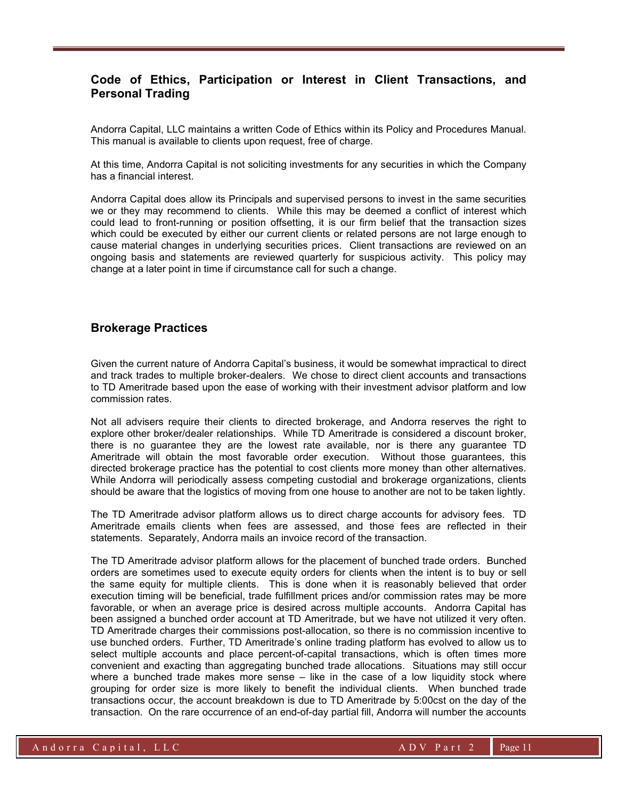## Code of Ethics, Participation or Interest in Client Transactions, and Personal Trading

Andorra Capital, LLC maintains a written Code of Ethics within its Policy and Procedures Manual. This manual is available to clients upon request, free of charge.

At this time, Andorra Capital is not soliciting investments for any securities in which the Company has a financial interest.

Andorra Capital does allow its Principals and supervised persons to invest in the same securities we or they may recommend to clients. While this may be deemed a conflict of interest which could lead to front-running or position offsetting, it is our firm belief that the transaction sizes which could be executed by either our current clients or related persons are not large enough to cause material changes in underlying securities prices. Client transactions are reviewed on an ongoing basis and statements are reviewed quarterly for suspicious activity. This policy may change at a later point in time if circumstance call for such a change.

## Brokerage Practices

Given the current nature of Andorra Capital's business, it would be somewhat impractical to direct and track trades to multiple broker-dealers. We chose to direct client accounts and transactions to TD Ameritrade based upon the ease of working with their investment advisor platform and low commission rates.

Not all advisers require their clients to directed brokerage, and Andorra reserves the right to explore other broker/dealer relationships. While TD Ameritrade is considered a discount broker, there is no guarantee they are the lowest rate available, nor is there any guarantee TD Ameritrade will obtain the most favorable order execution. Without those guarantees, this directed brokerage practice has the potential to cost clients more money than other alternatives. While Andorra will periodically assess competing custodial and brokerage organizations, clients should be aware that the logistics of moving from one house to another are not to be taken lightly.

The TD Ameritrade advisor platform allows us to direct charge accounts for advisory fees. TD Ameritrade emails clients when fees are assessed, and those fees are reflected in their statements. Separately, Andorra mails an invoice record of the transaction.

The TD Ameritrade advisor platform allows for the placement of bunched trade orders. Bunched orders are sometimes used to execute equity orders for clients when the intent is to buy or sell the same equity for multiple clients. This is done when it is reasonably believed that order execution timing will be beneficial, trade fulfillment prices and/or commission rates may be more favorable, or when an average price is desired across multiple accounts. Andorra Capital has been assigned a bunched order account at TD Ameritrade, but we have not utilized it very often. TD Ameritrade charges their commissions post-allocation, so there is no commission incentive to use bunched orders. Further, TD Ameritrade's online trading platform has evolved to allow us to select multiple accounts and place percent-of-capital transactions, which is often times more convenient and exacting than aggregating bunched trade allocations. Situations may still occur where a bunched trade makes more sense – like in the case of a low liquidity stock where grouping for order size is more likely to benefit the individual clients. When bunched trade transactions occur, the account breakdown is due to TD Ameritrade by 5:00cst on the day of the transaction. On the rare occurrence of an end-of-day partial fill, Andorra will number the accounts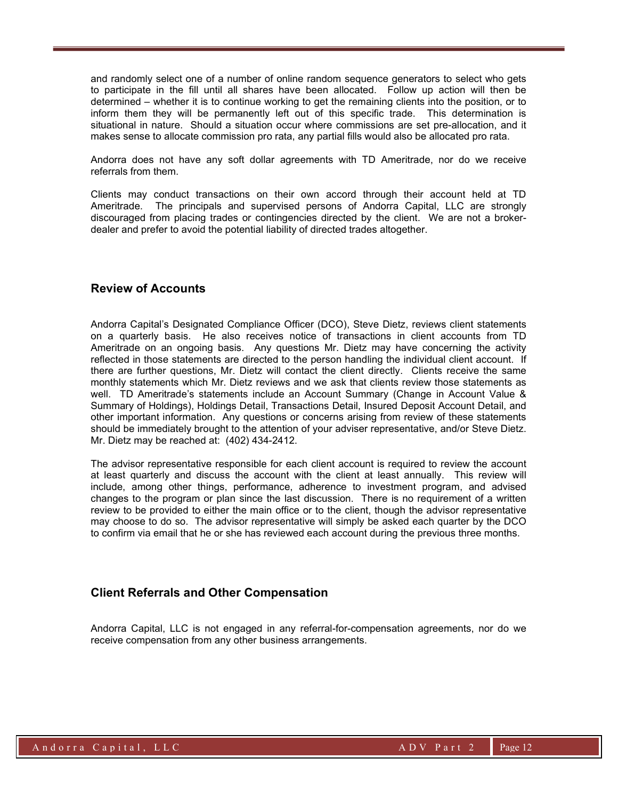and randomly select one of a number of online random sequence generators to select who gets to participate in the fill until all shares have been allocated. Follow up action will then be determined – whether it is to continue working to get the remaining clients into the position, or to inform them they will be permanently left out of this specific trade. This determination is situational in nature. Should a situation occur where commissions are set pre-allocation, and it makes sense to allocate commission pro rata, any partial fills would also be allocated pro rata.

Andorra does not have any soft dollar agreements with TD Ameritrade, nor do we receive referrals from them.

Clients may conduct transactions on their own accord through their account held at TD Ameritrade. The principals and supervised persons of Andorra Capital, LLC are strongly discouraged from placing trades or contingencies directed by the client. We are not a brokerdealer and prefer to avoid the potential liability of directed trades altogether.

#### Review of Accounts

Andorra Capital's Designated Compliance Officer (DCO), Steve Dietz, reviews client statements on a quarterly basis. He also receives notice of transactions in client accounts from TD Ameritrade on an ongoing basis. Any questions Mr. Dietz may have concerning the activity reflected in those statements are directed to the person handling the individual client account. If there are further questions, Mr. Dietz will contact the client directly. Clients receive the same monthly statements which Mr. Dietz reviews and we ask that clients review those statements as well. TD Ameritrade's statements include an Account Summary (Change in Account Value & Summary of Holdings), Holdings Detail, Transactions Detail, Insured Deposit Account Detail, and other important information. Any questions or concerns arising from review of these statements should be immediately brought to the attention of your adviser representative, and/or Steve Dietz. Mr. Dietz may be reached at: (402) 434-2412.

The advisor representative responsible for each client account is required to review the account at least quarterly and discuss the account with the client at least annually. This review will include, among other things, performance, adherence to investment program, and advised changes to the program or plan since the last discussion. There is no requirement of a written review to be provided to either the main office or to the client, though the advisor representative may choose to do so. The advisor representative will simply be asked each quarter by the DCO to confirm via email that he or she has reviewed each account during the previous three months.

## Client Referrals and Other Compensation

Andorra Capital, LLC is not engaged in any referral-for-compensation agreements, nor do we receive compensation from any other business arrangements.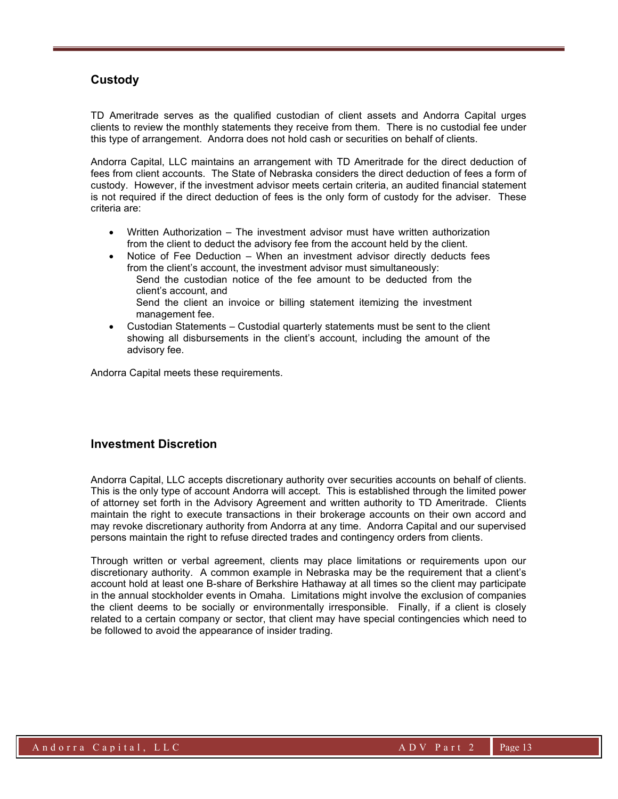## **Custody**

TD Ameritrade serves as the qualified custodian of client assets and Andorra Capital urges clients to review the monthly statements they receive from them. There is no custodial fee under this type of arrangement. Andorra does not hold cash or securities on behalf of clients.

Andorra Capital, LLC maintains an arrangement with TD Ameritrade for the direct deduction of fees from client accounts. The State of Nebraska considers the direct deduction of fees a form of custody. However, if the investment advisor meets certain criteria, an audited financial statement is not required if the direct deduction of fees is the only form of custody for the adviser. These criteria are:

- Written Authorization The investment advisor must have written authorization from the client to deduct the advisory fee from the account held by the client.
- Notice of Fee Deduction When an investment advisor directly deducts fees from the client's account, the investment advisor must simultaneously: Send the custodian notice of the fee amount to be deducted from the client's account, and Send the client an invoice or billing statement itemizing the investment management fee.
- Custodian Statements Custodial quarterly statements must be sent to the client showing all disbursements in the client's account, including the amount of the advisory fee.

Andorra Capital meets these requirements.

#### Investment Discretion

Andorra Capital, LLC accepts discretionary authority over securities accounts on behalf of clients. This is the only type of account Andorra will accept. This is established through the limited power of attorney set forth in the Advisory Agreement and written authority to TD Ameritrade. Clients maintain the right to execute transactions in their brokerage accounts on their own accord and may revoke discretionary authority from Andorra at any time. Andorra Capital and our supervised persons maintain the right to refuse directed trades and contingency orders from clients.

Through written or verbal agreement, clients may place limitations or requirements upon our discretionary authority. A common example in Nebraska may be the requirement that a client's account hold at least one B-share of Berkshire Hathaway at all times so the client may participate in the annual stockholder events in Omaha. Limitations might involve the exclusion of companies the client deems to be socially or environmentally irresponsible. Finally, if a client is closely related to a certain company or sector, that client may have special contingencies which need to be followed to avoid the appearance of insider trading.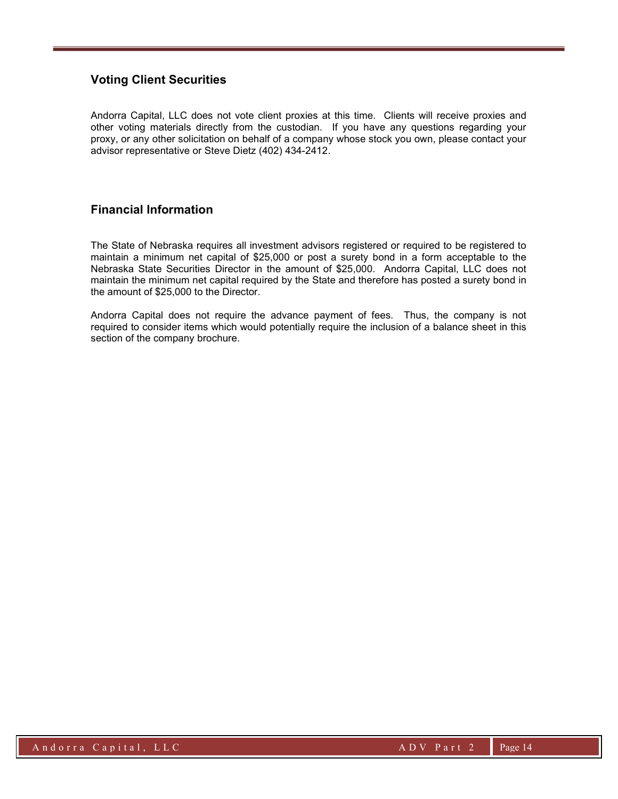## Voting Client Securities

Andorra Capital, LLC does not vote client proxies at this time. Clients will receive proxies and other voting materials directly from the custodian. If you have any questions regarding your proxy, or any other solicitation on behalf of a company whose stock you own, please contact your advisor representative or Steve Dietz (402) 434-2412.

## Financial Information

The State of Nebraska requires all investment advisors registered or required to be registered to maintain a minimum net capital of \$25,000 or post a surety bond in a form acceptable to the Nebraska State Securities Director in the amount of \$25,000. Andorra Capital, LLC does not maintain the minimum net capital required by the State and therefore has posted a surety bond in the amount of \$25,000 to the Director.

Andorra Capital does not require the advance payment of fees. Thus, the company is not required to consider items which would potentially require the inclusion of a balance sheet in this section of the company brochure.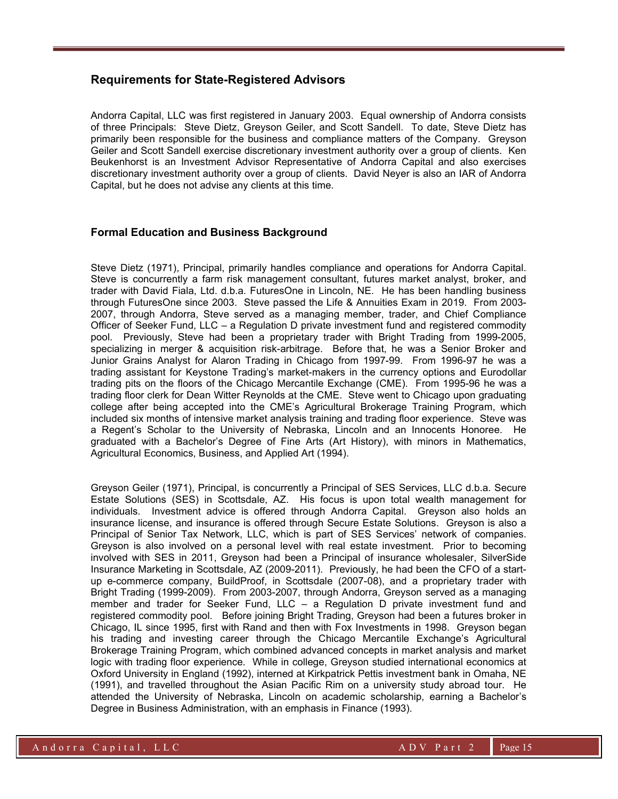### Requirements for State-Registered Advisors

Andorra Capital, LLC was first registered in January 2003. Equal ownership of Andorra consists of three Principals: Steve Dietz, Greyson Geiler, and Scott Sandell. To date, Steve Dietz has primarily been responsible for the business and compliance matters of the Company. Greyson Geiler and Scott Sandell exercise discretionary investment authority over a group of clients. Ken Beukenhorst is an Investment Advisor Representative of Andorra Capital and also exercises discretionary investment authority over a group of clients. David Neyer is also an IAR of Andorra Capital, but he does not advise any clients at this time.

#### Formal Education and Business Background

Steve Dietz (1971), Principal, primarily handles compliance and operations for Andorra Capital. Steve is concurrently a farm risk management consultant, futures market analyst, broker, and trader with David Fiala, Ltd. d.b.a. FuturesOne in Lincoln, NE. He has been handling business through FuturesOne since 2003. Steve passed the Life & Annuities Exam in 2019. From 2003- 2007, through Andorra, Steve served as a managing member, trader, and Chief Compliance Officer of Seeker Fund, LLC – a Regulation D private investment fund and registered commodity pool. Previously, Steve had been a proprietary trader with Bright Trading from 1999-2005, specializing in merger & acquisition risk-arbitrage. Before that, he was a Senior Broker and Junior Grains Analyst for Alaron Trading in Chicago from 1997-99. From 1996-97 he was a trading assistant for Keystone Trading's market-makers in the currency options and Eurodollar trading pits on the floors of the Chicago Mercantile Exchange (CME). From 1995-96 he was a trading floor clerk for Dean Witter Reynolds at the CME. Steve went to Chicago upon graduating college after being accepted into the CME's Agricultural Brokerage Training Program, which included six months of intensive market analysis training and trading floor experience. Steve was a Regent's Scholar to the University of Nebraska, Lincoln and an Innocents Honoree. He graduated with a Bachelor's Degree of Fine Arts (Art History), with minors in Mathematics, Agricultural Economics, Business, and Applied Art (1994).

Greyson Geiler (1971), Principal, is concurrently a Principal of SES Services, LLC d.b.a. Secure Estate Solutions (SES) in Scottsdale, AZ. His focus is upon total wealth management for individuals. Investment advice is offered through Andorra Capital. Greyson also holds an insurance license, and insurance is offered through Secure Estate Solutions. Greyson is also a Principal of Senior Tax Network, LLC, which is part of SES Services' network of companies. Greyson is also involved on a personal level with real estate investment. Prior to becoming involved with SES in 2011, Greyson had been a Principal of insurance wholesaler, SilverSide Insurance Marketing in Scottsdale, AZ (2009-2011). Previously, he had been the CFO of a startup e-commerce company, BuildProof, in Scottsdale (2007-08), and a proprietary trader with Bright Trading (1999-2009). From 2003-2007, through Andorra, Greyson served as a managing member and trader for Seeker Fund, LLC – a Regulation D private investment fund and registered commodity pool. Before joining Bright Trading, Greyson had been a futures broker in Chicago, IL since 1995, first with Rand and then with Fox Investments in 1998. Greyson began his trading and investing career through the Chicago Mercantile Exchange's Agricultural Brokerage Training Program, which combined advanced concepts in market analysis and market logic with trading floor experience. While in college, Greyson studied international economics at Oxford University in England (1992), interned at Kirkpatrick Pettis investment bank in Omaha, NE (1991), and travelled throughout the Asian Pacific Rim on a university study abroad tour. He attended the University of Nebraska, Lincoln on academic scholarship, earning a Bachelor's Degree in Business Administration, with an emphasis in Finance (1993).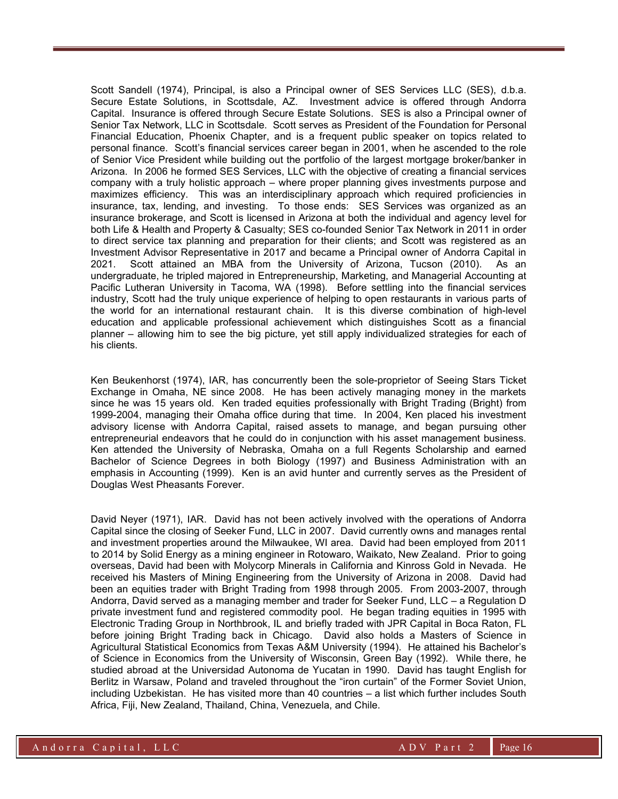Scott Sandell (1974), Principal, is also a Principal owner of SES Services LLC (SES), d.b.a. Secure Estate Solutions, in Scottsdale, AZ. Investment advice is offered through Andorra Capital. Insurance is offered through Secure Estate Solutions. SES is also a Principal owner of Senior Tax Network, LLC in Scottsdale. Scott serves as President of the Foundation for Personal Financial Education, Phoenix Chapter, and is a frequent public speaker on topics related to personal finance. Scott's financial services career began in 2001, when he ascended to the role of Senior Vice President while building out the portfolio of the largest mortgage broker/banker in Arizona. In 2006 he formed SES Services, LLC with the objective of creating a financial services company with a truly holistic approach – where proper planning gives investments purpose and maximizes efficiency. This was an interdisciplinary approach which required proficiencies in insurance, tax, lending, and investing. To those ends: SES Services was organized as an insurance brokerage, and Scott is licensed in Arizona at both the individual and agency level for both Life & Health and Property & Casualty; SES co-founded Senior Tax Network in 2011 in order to direct service tax planning and preparation for their clients; and Scott was registered as an Investment Advisor Representative in 2017 and became a Principal owner of Andorra Capital in 2021. Scott attained an MBA from the University of Arizona, Tucson (2010). As an undergraduate, he tripled majored in Entrepreneurship, Marketing, and Managerial Accounting at Pacific Lutheran University in Tacoma, WA (1998). Before settling into the financial services industry, Scott had the truly unique experience of helping to open restaurants in various parts of the world for an international restaurant chain. It is this diverse combination of high-level education and applicable professional achievement which distinguishes Scott as a financial planner – allowing him to see the big picture, yet still apply individualized strategies for each of his clients.

Ken Beukenhorst (1974), IAR, has concurrently been the sole-proprietor of Seeing Stars Ticket Exchange in Omaha, NE since 2008. He has been actively managing money in the markets since he was 15 years old. Ken traded equities professionally with Bright Trading (Bright) from 1999-2004, managing their Omaha office during that time. In 2004, Ken placed his investment advisory license with Andorra Capital, raised assets to manage, and began pursuing other entrepreneurial endeavors that he could do in conjunction with his asset management business. Ken attended the University of Nebraska, Omaha on a full Regents Scholarship and earned Bachelor of Science Degrees in both Biology (1997) and Business Administration with an emphasis in Accounting (1999). Ken is an avid hunter and currently serves as the President of Douglas West Pheasants Forever.

David Neyer (1971), IAR. David has not been actively involved with the operations of Andorra Capital since the closing of Seeker Fund, LLC in 2007. David currently owns and manages rental and investment properties around the Milwaukee, WI area. David had been employed from 2011 to 2014 by Solid Energy as a mining engineer in Rotowaro, Waikato, New Zealand. Prior to going overseas, David had been with Molycorp Minerals in California and Kinross Gold in Nevada. He received his Masters of Mining Engineering from the University of Arizona in 2008. David had been an equities trader with Bright Trading from 1998 through 2005. From 2003-2007, through Andorra, David served as a managing member and trader for Seeker Fund, LLC – a Regulation D private investment fund and registered commodity pool. He began trading equities in 1995 with Electronic Trading Group in Northbrook, IL and briefly traded with JPR Capital in Boca Raton, FL before joining Bright Trading back in Chicago. David also holds a Masters of Science in Agricultural Statistical Economics from Texas A&M University (1994). He attained his Bachelor's of Science in Economics from the University of Wisconsin, Green Bay (1992). While there, he studied abroad at the Universidad Autonoma de Yucatan in 1990. David has taught English for Berlitz in Warsaw, Poland and traveled throughout the "iron curtain" of the Former Soviet Union, including Uzbekistan. He has visited more than 40 countries – a list which further includes South Africa, Fiji, New Zealand, Thailand, China, Venezuela, and Chile.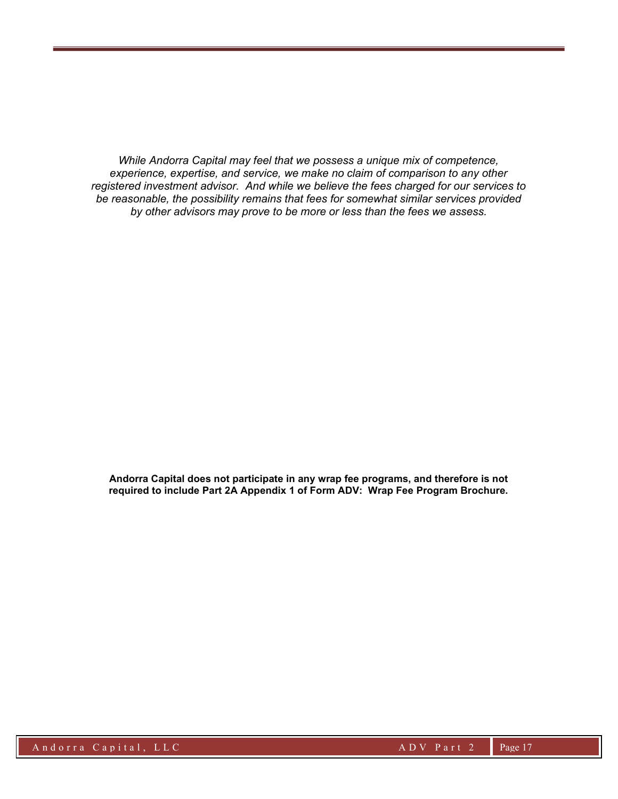While Andorra Capital may feel that we possess a unique mix of competence, experience, expertise, and service, we make no claim of comparison to any other registered investment advisor. And while we believe the fees charged for our services to be reasonable, the possibility remains that fees for somewhat similar services provided by other advisors may prove to be more or less than the fees we assess.

Andorra Capital does not participate in any wrap fee programs, and therefore is not required to include Part 2A Appendix 1 of Form ADV: Wrap Fee Program Brochure.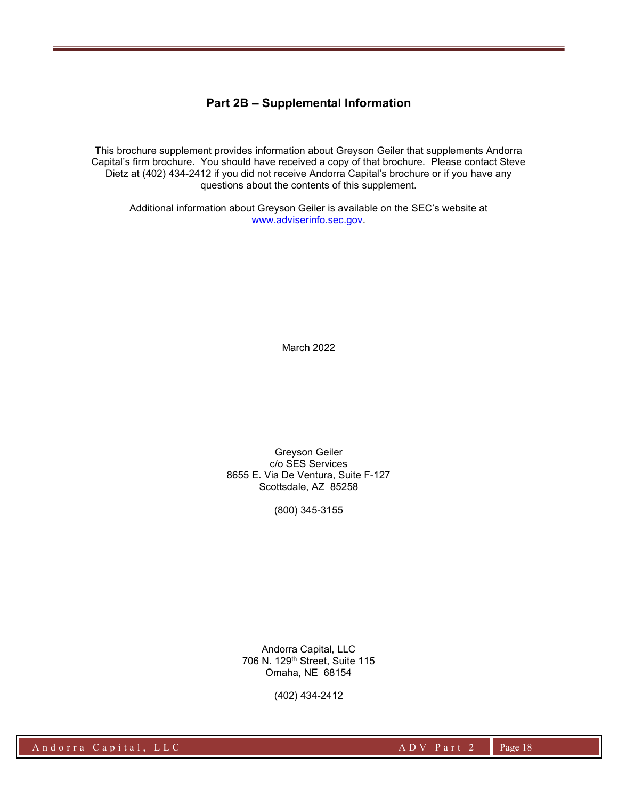## Part 2B – Supplemental Information

This brochure supplement provides information about Greyson Geiler that supplements Andorra Capital's firm brochure. You should have received a copy of that brochure. Please contact Steve Dietz at (402) 434-2412 if you did not receive Andorra Capital's brochure or if you have any questions about the contents of this supplement.

Additional information about Greyson Geiler is available on the SEC's website at www.adviserinfo.sec.gov.

March 2022

Greyson Geiler c/o SES Services 8655 E. Via De Ventura, Suite F-127 Scottsdale, AZ 85258

(800) 345-3155

Andorra Capital, LLC 706 N. 129th Street, Suite 115 Omaha, NE 68154

(402) 434-2412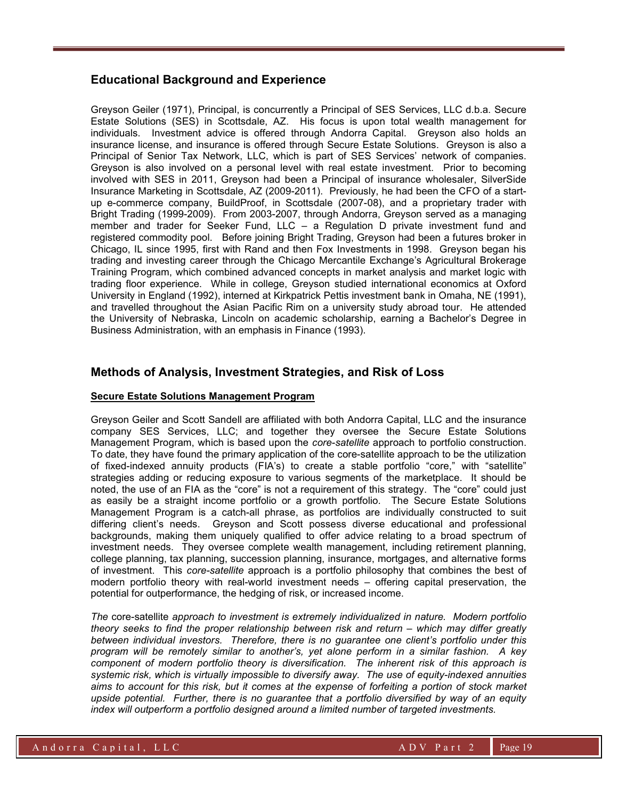## Educational Background and Experience

Greyson Geiler (1971), Principal, is concurrently a Principal of SES Services, LLC d.b.a. Secure Estate Solutions (SES) in Scottsdale, AZ. His focus is upon total wealth management for individuals. Investment advice is offered through Andorra Capital. Greyson also holds an insurance license, and insurance is offered through Secure Estate Solutions. Greyson is also a Principal of Senior Tax Network, LLC, which is part of SES Services' network of companies. Greyson is also involved on a personal level with real estate investment. Prior to becoming involved with SES in 2011, Greyson had been a Principal of insurance wholesaler, SilverSide Insurance Marketing in Scottsdale, AZ (2009-2011). Previously, he had been the CFO of a startup e-commerce company, BuildProof, in Scottsdale (2007-08), and a proprietary trader with Bright Trading (1999-2009). From 2003-2007, through Andorra, Greyson served as a managing member and trader for Seeker Fund, LLC – a Regulation D private investment fund and registered commodity pool. Before joining Bright Trading, Greyson had been a futures broker in Chicago, IL since 1995, first with Rand and then Fox Investments in 1998. Greyson began his trading and investing career through the Chicago Mercantile Exchange's Agricultural Brokerage Training Program, which combined advanced concepts in market analysis and market logic with trading floor experience. While in college, Greyson studied international economics at Oxford University in England (1992), interned at Kirkpatrick Pettis investment bank in Omaha, NE (1991), and travelled throughout the Asian Pacific Rim on a university study abroad tour. He attended the University of Nebraska, Lincoln on academic scholarship, earning a Bachelor's Degree in Business Administration, with an emphasis in Finance (1993).

## Methods of Analysis, Investment Strategies, and Risk of Loss

#### Secure Estate Solutions Management Program

Greyson Geiler and Scott Sandell are affiliated with both Andorra Capital, LLC and the insurance company SES Services, LLC; and together they oversee the Secure Estate Solutions Management Program, which is based upon the core-satellite approach to portfolio construction. To date, they have found the primary application of the core-satellite approach to be the utilization of fixed-indexed annuity products (FIA's) to create a stable portfolio "core," with "satellite" strategies adding or reducing exposure to various segments of the marketplace. It should be noted, the use of an FIA as the "core" is not a requirement of this strategy. The "core" could just as easily be a straight income portfolio or a growth portfolio. The Secure Estate Solutions Management Program is a catch-all phrase, as portfolios are individually constructed to suit differing client's needs. Greyson and Scott possess diverse educational and professional backgrounds, making them uniquely qualified to offer advice relating to a broad spectrum of investment needs. They oversee complete wealth management, including retirement planning, college planning, tax planning, succession planning, insurance, mortgages, and alternative forms of investment. This core-satellite approach is a portfolio philosophy that combines the best of modern portfolio theory with real-world investment needs – offering capital preservation, the potential for outperformance, the hedging of risk, or increased income.

The core-satellite approach to investment is extremely individualized in nature. Modern portfolio theory seeks to find the proper relationship between risk and return – which may differ greatly between individual investors. Therefore, there is no guarantee one client's portfolio under this program will be remotely similar to another's, yet alone perform in a similar fashion. A key component of modern portfolio theory is diversification. The inherent risk of this approach is systemic risk, which is virtually impossible to diversify away. The use of equity-indexed annuities aims to account for this risk, but it comes at the expense of forfeiting a portion of stock market upside potential. Further, there is no guarantee that a portfolio diversified by way of an equity index will outperform a portfolio designed around a limited number of targeted investments.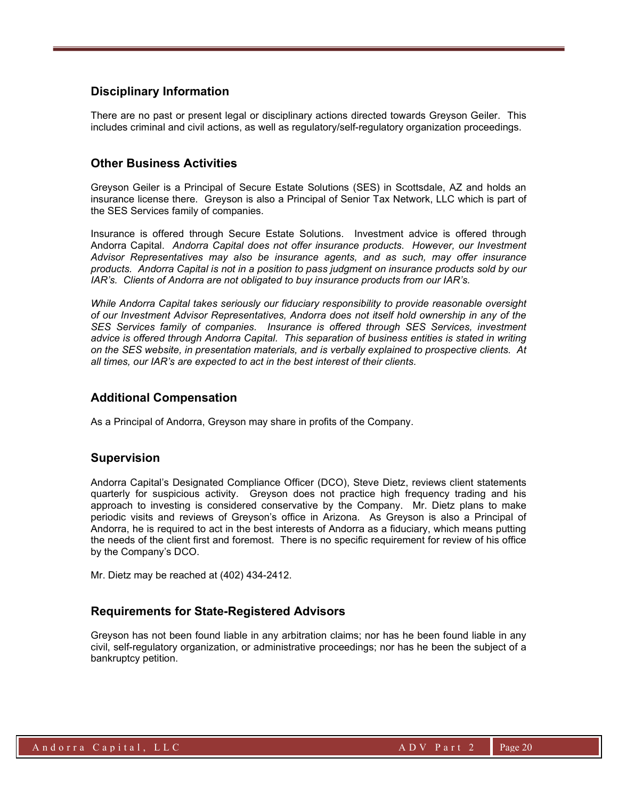## Disciplinary Information

There are no past or present legal or disciplinary actions directed towards Greyson Geiler. This includes criminal and civil actions, as well as regulatory/self-regulatory organization proceedings.

## Other Business Activities

Greyson Geiler is a Principal of Secure Estate Solutions (SES) in Scottsdale, AZ and holds an insurance license there. Greyson is also a Principal of Senior Tax Network, LLC which is part of the SES Services family of companies.

Insurance is offered through Secure Estate Solutions. Investment advice is offered through Andorra Capital. Andorra Capital does not offer insurance products. However, our Investment Advisor Representatives may also be insurance agents, and as such, may offer insurance products. Andorra Capital is not in a position to pass judgment on insurance products sold by our IAR's. Clients of Andorra are not obligated to buy insurance products from our IAR's.

While Andorra Capital takes seriously our fiduciary responsibility to provide reasonable oversight of our Investment Advisor Representatives, Andorra does not itself hold ownership in any of the SES Services family of companies. Insurance is offered through SES Services, investment advice is offered through Andorra Capital. This separation of business entities is stated in writing on the SES website, in presentation materials, and is verbally explained to prospective clients. At all times, our IAR's are expected to act in the best interest of their clients.

## Additional Compensation

As a Principal of Andorra, Greyson may share in profits of the Company.

## Supervision

Andorra Capital's Designated Compliance Officer (DCO), Steve Dietz, reviews client statements quarterly for suspicious activity. Greyson does not practice high frequency trading and his approach to investing is considered conservative by the Company. Mr. Dietz plans to make periodic visits and reviews of Greyson's office in Arizona. As Greyson is also a Principal of Andorra, he is required to act in the best interests of Andorra as a fiduciary, which means putting the needs of the client first and foremost. There is no specific requirement for review of his office by the Company's DCO.

Mr. Dietz may be reached at (402) 434-2412.

## Requirements for State-Registered Advisors

Greyson has not been found liable in any arbitration claims; nor has he been found liable in any civil, self-regulatory organization, or administrative proceedings; nor has he been the subject of a bankruptcy petition.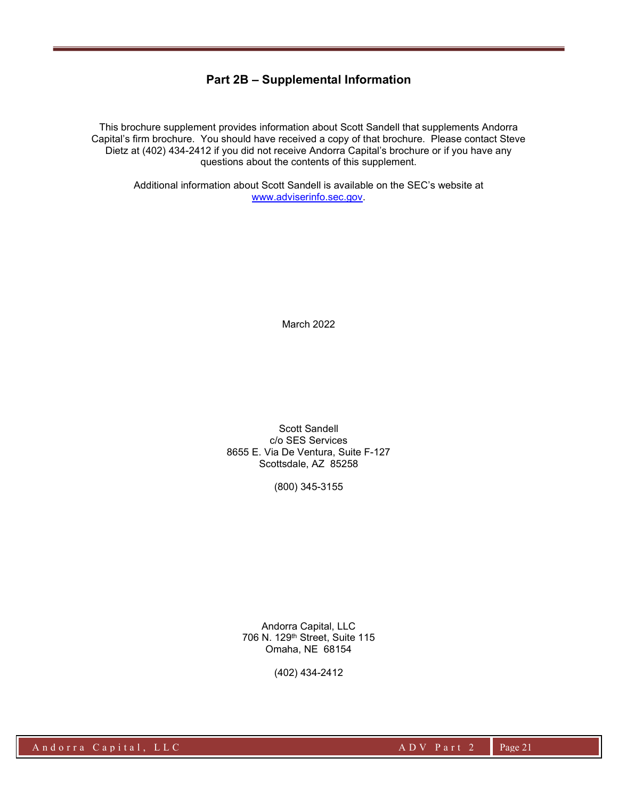## Part 2B – Supplemental Information

This brochure supplement provides information about Scott Sandell that supplements Andorra Capital's firm brochure. You should have received a copy of that brochure. Please contact Steve Dietz at (402) 434-2412 if you did not receive Andorra Capital's brochure or if you have any questions about the contents of this supplement.

Additional information about Scott Sandell is available on the SEC's website at www.adviserinfo.sec.gov.

March 2022

Scott Sandell c/o SES Services 8655 E. Via De Ventura, Suite F-127 Scottsdale, AZ 85258

(800) 345-3155

Andorra Capital, LLC 706 N. 129th Street, Suite 115 Omaha, NE 68154

(402) 434-2412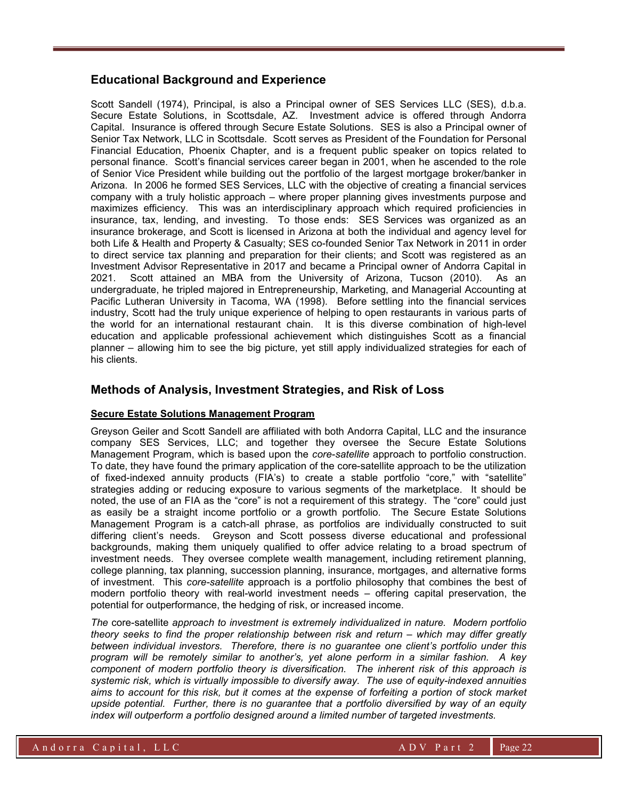## Educational Background and Experience

Scott Sandell (1974), Principal, is also a Principal owner of SES Services LLC (SES), d.b.a. Secure Estate Solutions, in Scottsdale, AZ. Investment advice is offered through Andorra Capital. Insurance is offered through Secure Estate Solutions. SES is also a Principal owner of Senior Tax Network, LLC in Scottsdale. Scott serves as President of the Foundation for Personal Financial Education, Phoenix Chapter, and is a frequent public speaker on topics related to personal finance. Scott's financial services career began in 2001, when he ascended to the role of Senior Vice President while building out the portfolio of the largest mortgage broker/banker in Arizona. In 2006 he formed SES Services, LLC with the objective of creating a financial services company with a truly holistic approach – where proper planning gives investments purpose and maximizes efficiency. This was an interdisciplinary approach which required proficiencies in insurance, tax, lending, and investing. To those ends: SES Services was organized as an insurance brokerage, and Scott is licensed in Arizona at both the individual and agency level for both Life & Health and Property & Casualty; SES co-founded Senior Tax Network in 2011 in order to direct service tax planning and preparation for their clients; and Scott was registered as an Investment Advisor Representative in 2017 and became a Principal owner of Andorra Capital in 2021. Scott attained an MBA from the University of Arizona, Tucson (2010). As an undergraduate, he tripled majored in Entrepreneurship, Marketing, and Managerial Accounting at Pacific Lutheran University in Tacoma, WA (1998). Before settling into the financial services industry, Scott had the truly unique experience of helping to open restaurants in various parts of the world for an international restaurant chain. It is this diverse combination of high-level education and applicable professional achievement which distinguishes Scott as a financial planner – allowing him to see the big picture, yet still apply individualized strategies for each of his clients.

## Methods of Analysis, Investment Strategies, and Risk of Loss

#### Secure Estate Solutions Management Program

Greyson Geiler and Scott Sandell are affiliated with both Andorra Capital, LLC and the insurance company SES Services, LLC; and together they oversee the Secure Estate Solutions Management Program, which is based upon the *core-satellite* approach to portfolio construction. To date, they have found the primary application of the core-satellite approach to be the utilization of fixed-indexed annuity products (FIA's) to create a stable portfolio "core," with "satellite" strategies adding or reducing exposure to various segments of the marketplace. It should be noted, the use of an FIA as the "core" is not a requirement of this strategy. The "core" could just as easily be a straight income portfolio or a growth portfolio. The Secure Estate Solutions Management Program is a catch-all phrase, as portfolios are individually constructed to suit differing client's needs. Greyson and Scott possess diverse educational and professional backgrounds, making them uniquely qualified to offer advice relating to a broad spectrum of investment needs. They oversee complete wealth management, including retirement planning, college planning, tax planning, succession planning, insurance, mortgages, and alternative forms of investment. This core-satellite approach is a portfolio philosophy that combines the best of modern portfolio theory with real-world investment needs – offering capital preservation, the potential for outperformance, the hedging of risk, or increased income.

The core-satellite approach to investment is extremely individualized in nature. Modern portfolio theory seeks to find the proper relationship between risk and return – which may differ greatly between individual investors. Therefore, there is no guarantee one client's portfolio under this program will be remotely similar to another's, yet alone perform in a similar fashion. A key component of modern portfolio theory is diversification. The inherent risk of this approach is systemic risk, which is virtually impossible to diversify away. The use of equity-indexed annuities aims to account for this risk, but it comes at the expense of forfeiting a portion of stock market upside potential. Further, there is no guarantee that a portfolio diversified by way of an equity index will outperform a portfolio designed around a limited number of targeted investments.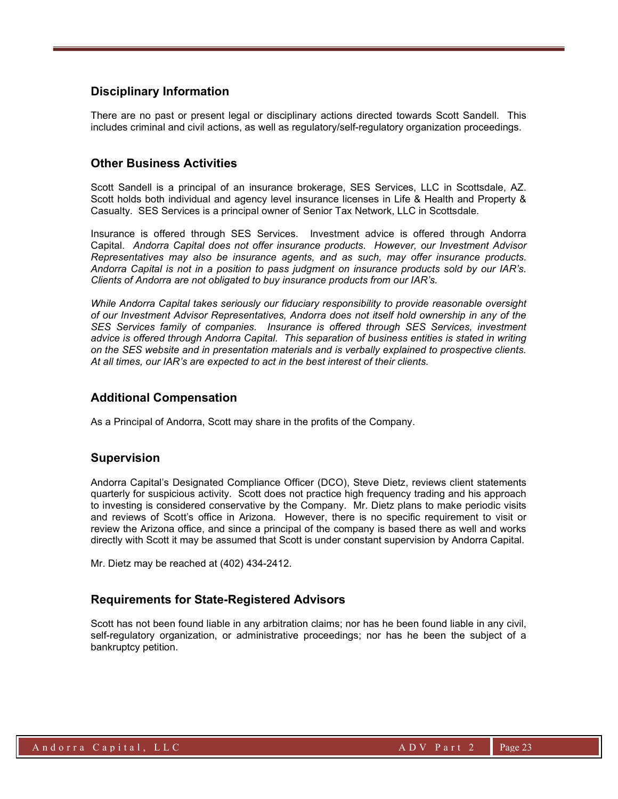## Disciplinary Information

There are no past or present legal or disciplinary actions directed towards Scott Sandell. This includes criminal and civil actions, as well as regulatory/self-regulatory organization proceedings.

## Other Business Activities

Scott Sandell is a principal of an insurance brokerage, SES Services, LLC in Scottsdale, AZ. Scott holds both individual and agency level insurance licenses in Life & Health and Property & Casualty. SES Services is a principal owner of Senior Tax Network, LLC in Scottsdale.

Insurance is offered through SES Services. Investment advice is offered through Andorra Capital. Andorra Capital does not offer insurance products. However, our Investment Advisor Representatives may also be insurance agents, and as such, may offer insurance products. Andorra Capital is not in a position to pass judgment on insurance products sold by our IAR's. Clients of Andorra are not obligated to buy insurance products from our IAR's.

While Andorra Capital takes seriously our fiduciary responsibility to provide reasonable oversight of our Investment Advisor Representatives, Andorra does not itself hold ownership in any of the SES Services family of companies. Insurance is offered through SES Services, investment advice is offered through Andorra Capital. This separation of business entities is stated in writing on the SES website and in presentation materials and is verbally explained to prospective clients. At all times, our IAR's are expected to act in the best interest of their clients.

## Additional Compensation

As a Principal of Andorra, Scott may share in the profits of the Company.

## Supervision

Andorra Capital's Designated Compliance Officer (DCO), Steve Dietz, reviews client statements quarterly for suspicious activity. Scott does not practice high frequency trading and his approach to investing is considered conservative by the Company. Mr. Dietz plans to make periodic visits and reviews of Scott's office in Arizona. However, there is no specific requirement to visit or review the Arizona office, and since a principal of the company is based there as well and works directly with Scott it may be assumed that Scott is under constant supervision by Andorra Capital.

Mr. Dietz may be reached at (402) 434-2412.

## Requirements for State-Registered Advisors

Scott has not been found liable in any arbitration claims; nor has he been found liable in any civil, self-regulatory organization, or administrative proceedings; nor has he been the subject of a bankruptcy petition.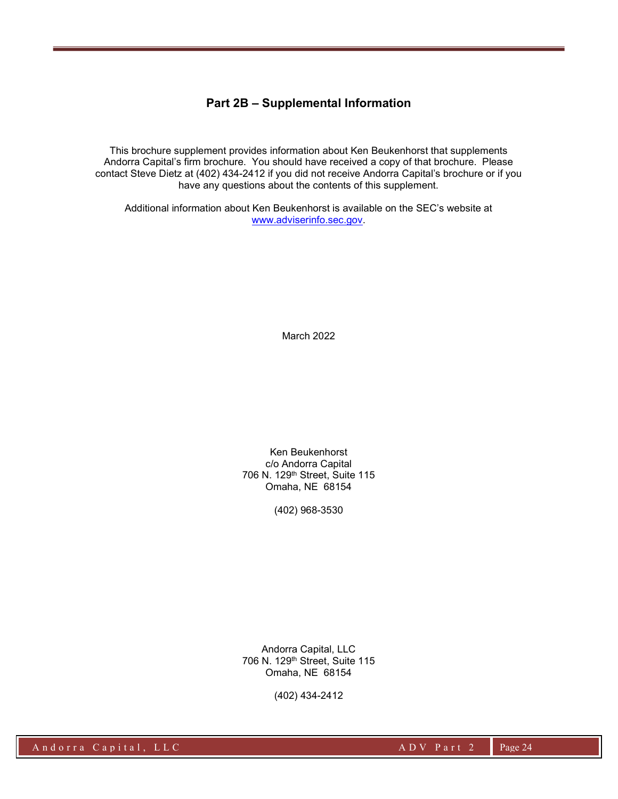## Part 2B – Supplemental Information

This brochure supplement provides information about Ken Beukenhorst that supplements Andorra Capital's firm brochure. You should have received a copy of that brochure. Please contact Steve Dietz at (402) 434-2412 if you did not receive Andorra Capital's brochure or if you have any questions about the contents of this supplement.

Additional information about Ken Beukenhorst is available on the SEC's website at www.adviserinfo.sec.gov.

March 2022

Ken Beukenhorst c/o Andorra Capital 706 N. 129th Street, Suite 115 Omaha, NE 68154

(402) 968-3530

Andorra Capital, LLC 706 N. 129th Street, Suite 115 Omaha, NE 68154

(402) 434-2412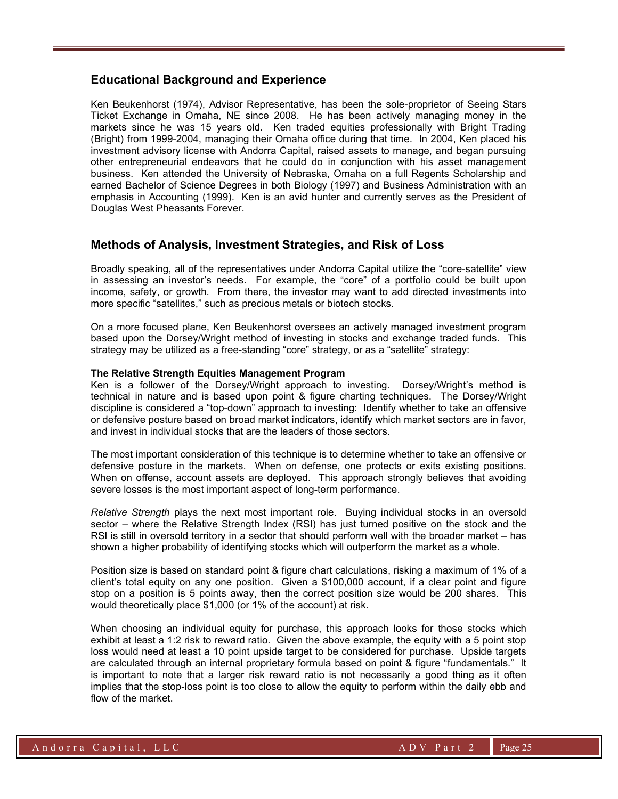#### Educational Background and Experience

Ken Beukenhorst (1974), Advisor Representative, has been the sole-proprietor of Seeing Stars Ticket Exchange in Omaha, NE since 2008. He has been actively managing money in the markets since he was 15 years old. Ken traded equities professionally with Bright Trading (Bright) from 1999-2004, managing their Omaha office during that time. In 2004, Ken placed his investment advisory license with Andorra Capital, raised assets to manage, and began pursuing other entrepreneurial endeavors that he could do in conjunction with his asset management business. Ken attended the University of Nebraska, Omaha on a full Regents Scholarship and earned Bachelor of Science Degrees in both Biology (1997) and Business Administration with an emphasis in Accounting (1999). Ken is an avid hunter and currently serves as the President of Douglas West Pheasants Forever.

## Methods of Analysis, Investment Strategies, and Risk of Loss

Broadly speaking, all of the representatives under Andorra Capital utilize the "core-satellite" view in assessing an investor's needs. For example, the "core" of a portfolio could be built upon income, safety, or growth. From there, the investor may want to add directed investments into more specific "satellites," such as precious metals or biotech stocks.

On a more focused plane, Ken Beukenhorst oversees an actively managed investment program based upon the Dorsey/Wright method of investing in stocks and exchange traded funds. This strategy may be utilized as a free-standing "core" strategy, or as a "satellite" strategy:

#### The Relative Strength Equities Management Program

Ken is a follower of the Dorsey/Wright approach to investing. Dorsey/Wright's method is technical in nature and is based upon point & figure charting techniques. The Dorsey/Wright discipline is considered a "top-down" approach to investing: Identify whether to take an offensive or defensive posture based on broad market indicators, identify which market sectors are in favor, and invest in individual stocks that are the leaders of those sectors.

The most important consideration of this technique is to determine whether to take an offensive or defensive posture in the markets. When on defense, one protects or exits existing positions. When on offense, account assets are deployed. This approach strongly believes that avoiding severe losses is the most important aspect of long-term performance.

Relative Strength plays the next most important role. Buying individual stocks in an oversold sector – where the Relative Strength Index (RSI) has just turned positive on the stock and the RSI is still in oversold territory in a sector that should perform well with the broader market – has shown a higher probability of identifying stocks which will outperform the market as a whole.

Position size is based on standard point & figure chart calculations, risking a maximum of 1% of a client's total equity on any one position. Given a \$100,000 account, if a clear point and figure stop on a position is 5 points away, then the correct position size would be 200 shares. This would theoretically place \$1,000 (or 1% of the account) at risk.

When choosing an individual equity for purchase, this approach looks for those stocks which exhibit at least a 1:2 risk to reward ratio. Given the above example, the equity with a 5 point stop loss would need at least a 10 point upside target to be considered for purchase. Upside targets are calculated through an internal proprietary formula based on point & figure "fundamentals." It is important to note that a larger risk reward ratio is not necessarily a good thing as it often implies that the stop-loss point is too close to allow the equity to perform within the daily ebb and flow of the market.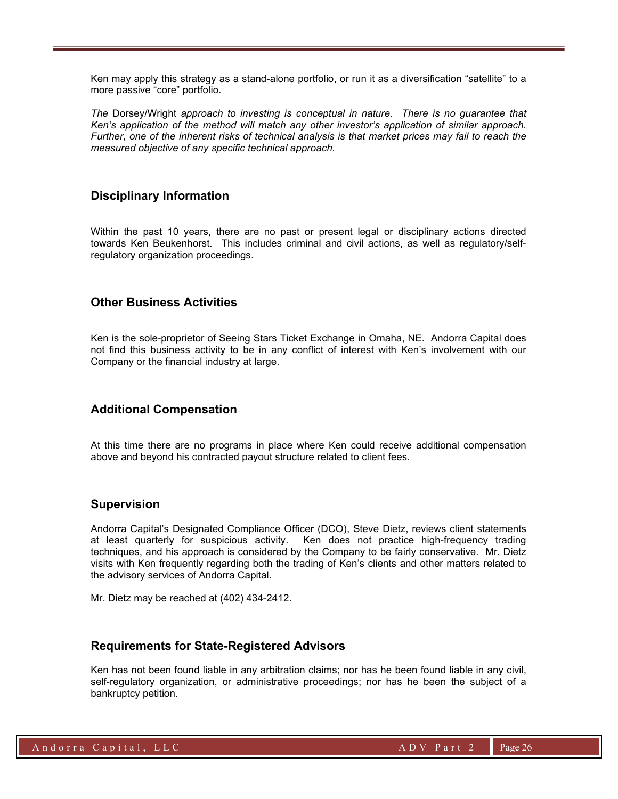Ken may apply this strategy as a stand-alone portfolio, or run it as a diversification "satellite" to a more passive "core" portfolio.

The Dorsey/Wright approach to investing is conceptual in nature. There is no guarantee that Ken's application of the method will match any other investor's application of similar approach. Further, one of the inherent risks of technical analysis is that market prices may fail to reach the measured objective of any specific technical approach.

## Disciplinary Information

Within the past 10 years, there are no past or present legal or disciplinary actions directed towards Ken Beukenhorst. This includes criminal and civil actions, as well as regulatory/selfregulatory organization proceedings.

## Other Business Activities

Ken is the sole-proprietor of Seeing Stars Ticket Exchange in Omaha, NE. Andorra Capital does not find this business activity to be in any conflict of interest with Ken's involvement with our Company or the financial industry at large.

## Additional Compensation

At this time there are no programs in place where Ken could receive additional compensation above and beyond his contracted payout structure related to client fees.

#### Supervision

Andorra Capital's Designated Compliance Officer (DCO), Steve Dietz, reviews client statements at least quarterly for suspicious activity. Ken does not practice high-frequency trading techniques, and his approach is considered by the Company to be fairly conservative. Mr. Dietz visits with Ken frequently regarding both the trading of Ken's clients and other matters related to the advisory services of Andorra Capital.

Mr. Dietz may be reached at (402) 434-2412.

## Requirements for State-Registered Advisors

Ken has not been found liable in any arbitration claims; nor has he been found liable in any civil, self-regulatory organization, or administrative proceedings; nor has he been the subject of a bankruptcy petition.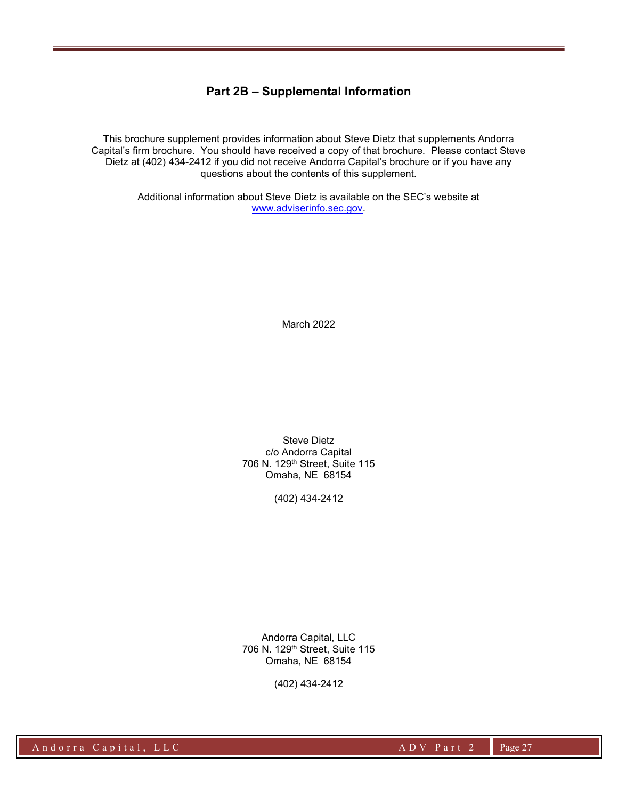## Part 2B – Supplemental Information

This brochure supplement provides information about Steve Dietz that supplements Andorra Capital's firm brochure. You should have received a copy of that brochure. Please contact Steve Dietz at (402) 434-2412 if you did not receive Andorra Capital's brochure or if you have any questions about the contents of this supplement.

> Additional information about Steve Dietz is available on the SEC's website at www.adviserinfo.sec.gov.

> > March 2022

Steve Dietz c/o Andorra Capital 706 N. 129th Street, Suite 115 Omaha, NE 68154

(402) 434-2412

Andorra Capital, LLC 706 N. 129th Street, Suite 115 Omaha, NE 68154

(402) 434-2412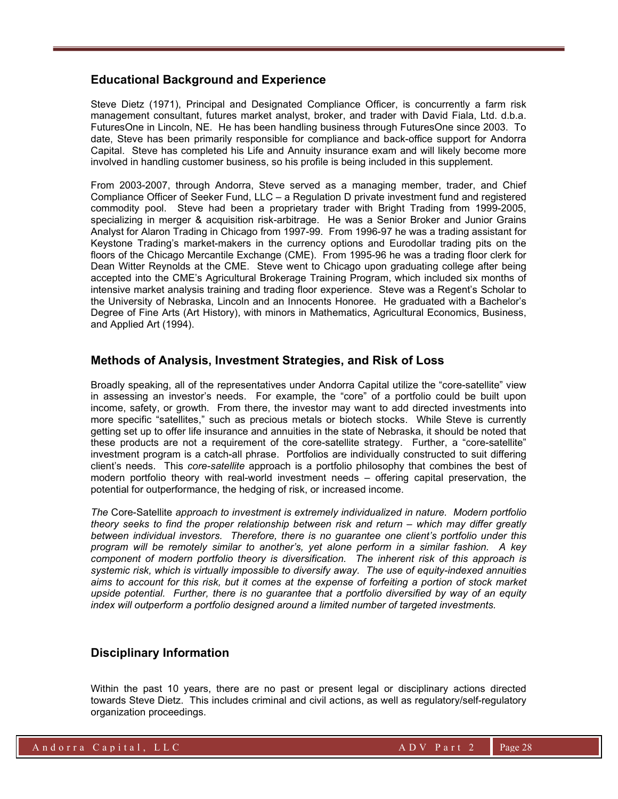### Educational Background and Experience

Steve Dietz (1971), Principal and Designated Compliance Officer, is concurrently a farm risk management consultant, futures market analyst, broker, and trader with David Fiala, Ltd. d.b.a. FuturesOne in Lincoln, NE. He has been handling business through FuturesOne since 2003. To date, Steve has been primarily responsible for compliance and back-office support for Andorra Capital. Steve has completed his Life and Annuity insurance exam and will likely become more involved in handling customer business, so his profile is being included in this supplement.

From 2003-2007, through Andorra, Steve served as a managing member, trader, and Chief Compliance Officer of Seeker Fund, LLC – a Regulation D private investment fund and registered commodity pool. Steve had been a proprietary trader with Bright Trading from 1999-2005, specializing in merger & acquisition risk-arbitrage. He was a Senior Broker and Junior Grains Analyst for Alaron Trading in Chicago from 1997-99. From 1996-97 he was a trading assistant for Keystone Trading's market-makers in the currency options and Eurodollar trading pits on the floors of the Chicago Mercantile Exchange (CME). From 1995-96 he was a trading floor clerk for Dean Witter Reynolds at the CME. Steve went to Chicago upon graduating college after being accepted into the CME's Agricultural Brokerage Training Program, which included six months of intensive market analysis training and trading floor experience. Steve was a Regent's Scholar to the University of Nebraska, Lincoln and an Innocents Honoree. He graduated with a Bachelor's Degree of Fine Arts (Art History), with minors in Mathematics, Agricultural Economics, Business, and Applied Art (1994).

## Methods of Analysis, Investment Strategies, and Risk of Loss

Broadly speaking, all of the representatives under Andorra Capital utilize the "core-satellite" view in assessing an investor's needs. For example, the "core" of a portfolio could be built upon income, safety, or growth. From there, the investor may want to add directed investments into more specific "satellites," such as precious metals or biotech stocks. While Steve is currently getting set up to offer life insurance and annuities in the state of Nebraska, it should be noted that these products are not a requirement of the core-satellite strategy. Further, a "core-satellite" investment program is a catch-all phrase. Portfolios are individually constructed to suit differing client's needs. This core-satellite approach is a portfolio philosophy that combines the best of modern portfolio theory with real-world investment needs – offering capital preservation, the potential for outperformance, the hedging of risk, or increased income.

The Core-Satellite approach to investment is extremely individualized in nature. Modern portfolio theory seeks to find the proper relationship between risk and return – which may differ greatly between individual investors. Therefore, there is no guarantee one client's portfolio under this program will be remotely similar to another's, yet alone perform in a similar fashion. A key component of modern portfolio theory is diversification. The inherent risk of this approach is systemic risk, which is virtually impossible to diversify away. The use of equity-indexed annuities aims to account for this risk, but it comes at the expense of forfeiting a portion of stock market upside potential. Further, there is no guarantee that a portfolio diversified by way of an equity index will outperform a portfolio designed around a limited number of targeted investments.

## Disciplinary Information

Within the past 10 years, there are no past or present legal or disciplinary actions directed towards Steve Dietz. This includes criminal and civil actions, as well as regulatory/self-regulatory organization proceedings.